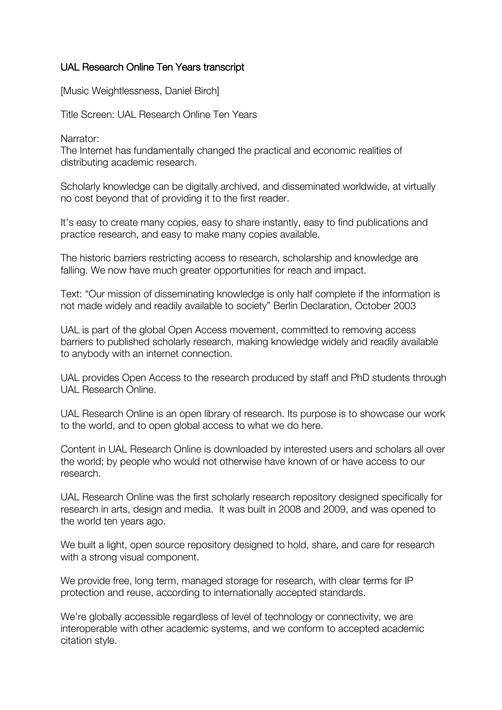## UAL Research Online Ten Years transcript

[Music Weightlessness, Daniel Birch]

Title Screen: UAL Research Online Ten Years

Narrator:

The Internet has fundamentally changed the practical and economic realities of distributing academic research.

Scholarly knowledge can be digitally archived, and disseminated worldwide, at virtually no cost beyond that of providing it to the first reader.

It's easy to create many copies, easy to share instantly, easy to find publications and practice research, and easy to make many copies available.

The historic barriers restricting access to research, scholarship and knowledge are falling. We now have much greater opportunities for reach and impact.

Text: "Our mission of disseminating knowledge is only half complete if the information is not made widely and readily available to society" Berlin Declaration, October 2003

UAL is part of the global Open Access movement, committed to removing access barriers to published scholarly research, making knowledge widely and readily available to anybody with an internet connection.

UAL provides Open Access to the research produced by staff and PhD students through UAL Research Online.

UAL Research Online is an open library of research. Its purpose is to showcase our work to the world, and to open global access to what we do here.

Content in UAL Research Online is downloaded by interested users and scholars all over the world; by people who would not otherwise have known of or have access to our research.

UAL Research Online was the first scholarly research repository designed specifically for research in arts, design and media. It was built in 2008 and 2009, and was opened to the world ten years ago.

We built a light, open source repository designed to hold, share, and care for research with a strong visual component.

We provide free, long term, managed storage for research, with clear terms for IP protection and reuse, according to internationally accepted standards.

We're globally accessible regardless of level of technology or connectivity, we are interoperable with other academic systems, and we conform to accepted academic citation style.